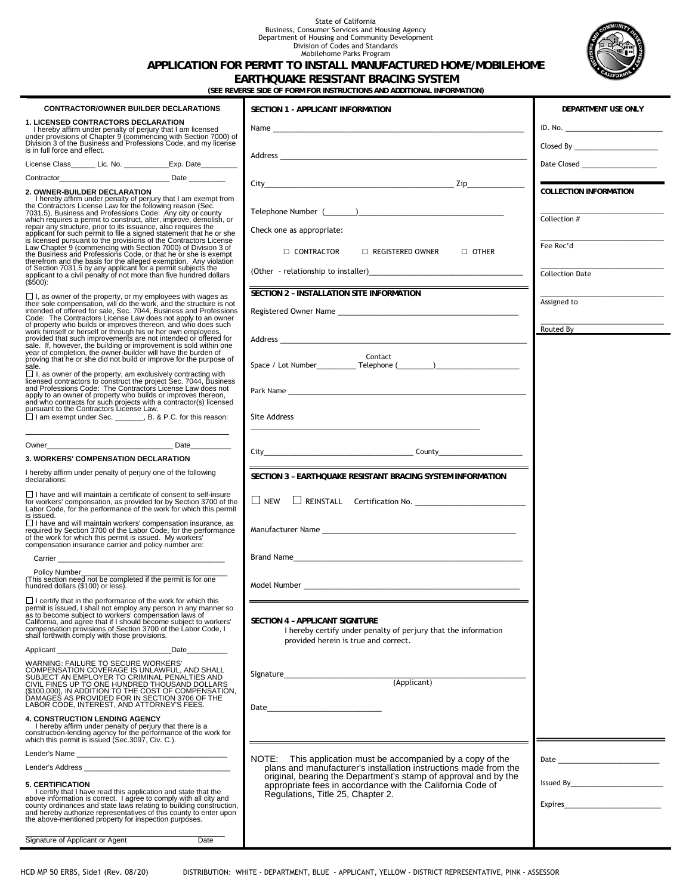## State of California Business, Consumer Services and Housing Agency Department of Housing and Community Development Division of Codes and Standards Mobilehome Parks Program



## **APPLICATION FOR PERMIT TO INSTALL MANUFACTURED HOME/MOBILEHOME**

**EARTHQUAKE RESISTANT BRACING SYSTEM**

**(SEE REVERSE SIDE OF FORM FOR INSTRUCTIONS AND ADDITIONAL INFORMATION)**

| <b>CONTRACTOR/OWNER BUILDER DECLARATIONS</b>                                                                                                                                                                                            | SECTION 1 - APPLICANT INFORMATION                                                                                                   | DEPARTMENT USE ONLY                                                             |
|-----------------------------------------------------------------------------------------------------------------------------------------------------------------------------------------------------------------------------------------|-------------------------------------------------------------------------------------------------------------------------------------|---------------------------------------------------------------------------------|
| <b>1. LICENSED CONTRACTORS DECLARATION</b><br>Thereby affirm under penalty of perjury that I am licensed<br>under provisions of Chapter 9 (commencing with Section 7000) of                                                             |                                                                                                                                     |                                                                                 |
| Division 3 of the Business and Professions Code, and my license<br>is in full force and effect.                                                                                                                                         |                                                                                                                                     |                                                                                 |
| License Class________ Lic. No. ______________ Exp. Date__________                                                                                                                                                                       |                                                                                                                                     | Date Closed ________________________                                            |
|                                                                                                                                                                                                                                         |                                                                                                                                     |                                                                                 |
| 2. OWNER-BUILDER DECLARATION                                                                                                                                                                                                            |                                                                                                                                     | <u> Maria Alemania de San Antonio de San A</u><br><b>COLLECTION INFORMATION</b> |
|                                                                                                                                                                                                                                         |                                                                                                                                     |                                                                                 |
|                                                                                                                                                                                                                                         |                                                                                                                                     | Collection #                                                                    |
|                                                                                                                                                                                                                                         | Check one as appropriate:                                                                                                           |                                                                                 |
|                                                                                                                                                                                                                                         | $\Box$ CONTRACTOR<br>$\Box$ REGISTERED OWNER $\Box$ OTHER                                                                           | Fee Rec'd                                                                       |
| 7031.5), Business and Protessions Code: Any city or county<br>which requires a permit to construct, alter, improve, demolish, or<br>repair any structure, prior to its issuance, also requires the<br>applicant for such permit to file |                                                                                                                                     | <b>Collection Date</b>                                                          |
| (\$500):                                                                                                                                                                                                                                | SECTION 2 - INSTALLATION SITE INFORMATION                                                                                           |                                                                                 |
| □ I, as owner of the property, or my employees with wages as<br>their sole compensation, will do the work, and the structure is not<br>intended of offered for sale, Sec. 7044, Business and Professions<br>Code: The Contractors Lice  |                                                                                                                                     | Assigned to                                                                     |
|                                                                                                                                                                                                                                         |                                                                                                                                     |                                                                                 |
| Code. The Contractors License Cavi does not apply to an owner<br>of property who builds or improves thereon, and who does such<br>work himself or herself or through his or her own employees,<br>provided that such improvements are n |                                                                                                                                     | Routed By                                                                       |
| proving that he or she did not build or improve for the purpose of                                                                                                                                                                      | Contact                                                                                                                             |                                                                                 |
| sale.                                                                                                                                                                                                                                   |                                                                                                                                     |                                                                                 |
| □ I, as owner of the property, am exclusively contracting with<br>licensed contractors to construct the project Sec. 7044, Business<br>and Professions Code: The Contractors License Law does not                                       |                                                                                                                                     |                                                                                 |
| apply to an owner of property who builds or improves thereon,<br>and who contracts for such projects with a contractor(s) licensed<br>pursuant to the Contractors License Law.                                                          |                                                                                                                                     |                                                                                 |
| I am exempt under Sec. _______, B. & P.C. for this reason:                                                                                                                                                                              | Site Address                                                                                                                        |                                                                                 |
|                                                                                                                                                                                                                                         |                                                                                                                                     |                                                                                 |
| Owner Date Date                                                                                                                                                                                                                         |                                                                                                                                     |                                                                                 |
| <b>3. WORKERS' COMPENSATION DECLARATION</b><br>I hereby affirm under penalty of perjury one of the following                                                                                                                            |                                                                                                                                     |                                                                                 |
| declarations:                                                                                                                                                                                                                           | SECTION 3 - EARTHQUAKE RESISTANT BRACING SYSTEM INFORMATION                                                                         |                                                                                 |
| $\Box$ I have and will maintain a certificate of consent to self-insure<br>for workers' compensation, as provided for by Section 3700 of the<br>Labor Code, for the performance of the work for which this permit<br>is issued.         |                                                                                                                                     |                                                                                 |
| □ Thave and will maintain workers' compensation insurance, as<br>required by Section 3700 of the Labor Code, for the performance<br>of the work for which this permit is issued. My workers'<br>compensation insurance carrier and pol  |                                                                                                                                     |                                                                                 |
|                                                                                                                                                                                                                                         |                                                                                                                                     |                                                                                 |
| <b>Policy Number</b><br>(This section need not be completed if the permit is for one                                                                                                                                                    |                                                                                                                                     |                                                                                 |
| hundred dollars (\$100) or less).                                                                                                                                                                                                       |                                                                                                                                     |                                                                                 |
| $\Box$ I certify that in the performance of the work for which this<br>permit is issued, I shall not employ any person in any manner so                                                                                                 | $\mathsf I$ $\!$                                                                                                                    |                                                                                 |
| Satisfaction and subject to workers' compensation laws of<br>California, and agree that if I should become subject to workers'<br>compensation provisions of Section 3700 of the Labor Code, I                                          | SECTION 4 - APPLICANT SIGNITURE<br>I hereby certify under penalty of perjury that the information                                   |                                                                                 |
| shall forthwith comply with those provisions.                                                                                                                                                                                           | provided herein is true and correct.                                                                                                |                                                                                 |
| Applicant<br>Date_______                                                                                                                                                                                                                |                                                                                                                                     |                                                                                 |
| WARNING: FAILURE TO SECURE WORKERS'<br>COMPENSATION COVERAGE IS UNLAWFUL, AND SHALL<br>SUBJECT AN EMPLOYER TO CRIMINAL PENALTIES AND                                                                                                    |                                                                                                                                     |                                                                                 |
| CIVIL FINES UP TO ONE HUNDRED THOUSAND DOLLARS<br>(\$100,000), IN ADDITION TO THE COST OF COMPENSATION,<br>DAMAGES AS PROVIDED FOR IN SECTION 3706 OF THE                                                                               |                                                                                                                                     |                                                                                 |
| LABOR CODE, INTEREST, AND ATTORNEY'S FEES.                                                                                                                                                                                              |                                                                                                                                     |                                                                                 |
| 4. CONSTRUCTION LENDING AGENCY<br>I hereby affirm under penalty of perjury that there is a                                                                                                                                              |                                                                                                                                     |                                                                                 |
| construction-lending agency for the performance of the work for<br>which this permit is issued (Sec.3097, Civ. C.).                                                                                                                     |                                                                                                                                     |                                                                                 |
|                                                                                                                                                                                                                                         | NOTE: This application must be accompanied by a copy of the                                                                         |                                                                                 |
|                                                                                                                                                                                                                                         | plans and manufacturer's installation instructions made from the<br>original, bearing the Department's stamp of approval and by the |                                                                                 |
| <b>5. CERTIFICATION</b><br>I certify that I have read this application and state that the                                                                                                                                               | appropriate fees in accordance with the California Code of<br>Regulations, Title 25, Chapter 2.                                     |                                                                                 |
| above information is correct. I agree to comply with all city and<br>county ordinances and state laws relating to building construction,<br>and hereby authorize representatives of this county to enter upon                           |                                                                                                                                     |                                                                                 |
| the above-mentioned property for inspection purposes.                                                                                                                                                                                   |                                                                                                                                     |                                                                                 |
| Signature of Applicant or Agent<br>Date                                                                                                                                                                                                 |                                                                                                                                     |                                                                                 |
|                                                                                                                                                                                                                                         |                                                                                                                                     |                                                                                 |